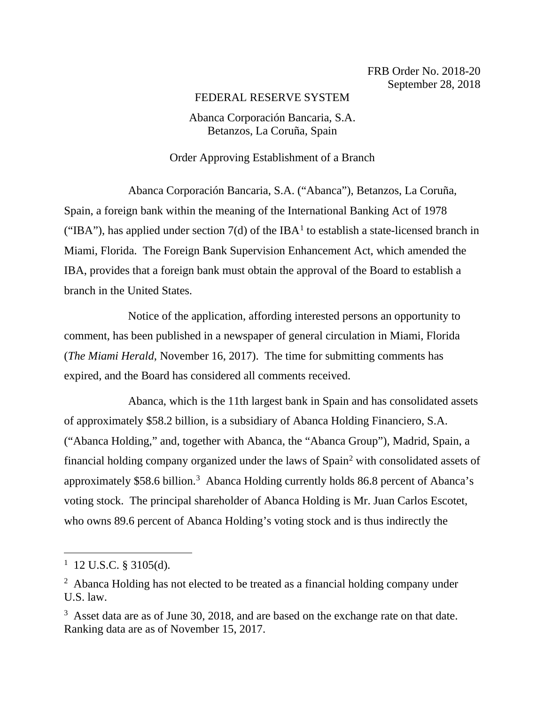## FEDERAL RESERVE SYSTEM

## Abanca Corporación Bancaria, S.A. Betanzos, La Coruña, Spain

## Order Approving Establishment of a Branch

Abanca Corporación Bancaria, S.A. ("Abanca"), Betanzos, La Coruña, Spain, a foreign bank within the meaning of the International Banking Act of 1978 ("IBA"), has applied under section  $7(d)$  of the IBA<sup>1</sup> to establish a state-licensed branch in Miami, Florida. The Foreign Bank Supervision Enhancement Act, which amended the IBA, provides that a foreign bank must obtain the approval of the Board to establish a branch in the United States.

Notice of the application, affording interested persons an opportunity to comment, has been published in a newspaper of general circulation in Miami, Florida (*The Miami Herald*, November 16, 2017). The time for submitting comments has expired, and the Board has considered all comments received.

Abanca, which is the 11th largest bank in Spain and has consolidated assets of approximately \$58.2 billion, is a subsidiary of Abanca Holding Financiero, S.A. ("Abanca Holding," and, together with Abanca, the "Abanca Group"), Madrid, Spain, a financial holding company organized under the laws of Spain2 with consolidated assets of approximately \$58.6 billion.<sup>3</sup> Abanca Holding currently holds 86.8 percent of Abanca's voting stock. The principal shareholder of Abanca Holding is Mr. Juan Carlos Escotet, who owns 89.6 percent of Abanca Holding's voting stock and is thus indirectly the

 $1$  12 U.S.C. § 3105(d).

<sup>&</sup>lt;sup>2</sup> Abanca Holding has not elected to be treated as a financial holding company under U.S. law.

<sup>&</sup>lt;sup>3</sup> Asset data are as of June 30, 2018, and are based on the exchange rate on that date. Ranking data are as of November 15, 2017.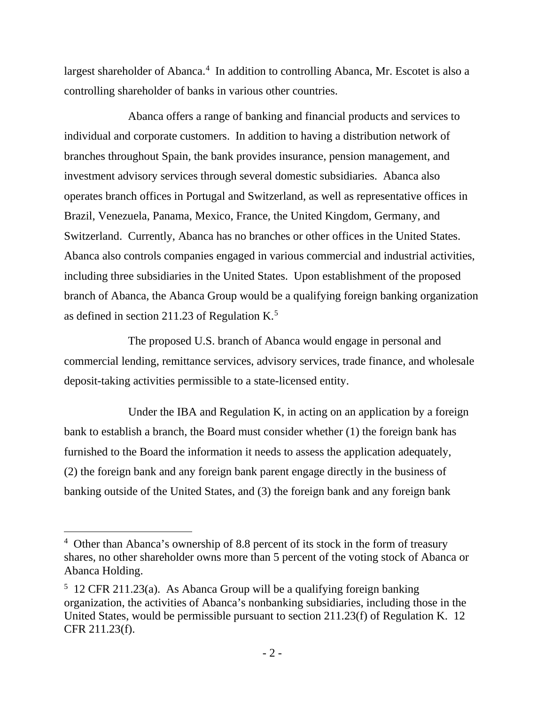largest shareholder of Abanca.<sup>4</sup> In addition to controlling Abanca, Mr. Escotet is also a controlling shareholder of banks in various other countries.

Abanca offers a range of banking and financial products and services to individual and corporate customers. In addition to having a distribution network of branches throughout Spain, the bank provides insurance, pension management, and investment advisory services through several domestic subsidiaries. Abanca also operates branch offices in Portugal and Switzerland, as well as representative offices in Brazil, Venezuela, Panama, Mexico, France, the United Kingdom, Germany, and Switzerland. Currently, Abanca has no branches or other offices in the United States. Abanca also controls companies engaged in various commercial and industrial activities, including three subsidiaries in the United States. Upon establishment of the proposed branch of Abanca, the Abanca Group would be a qualifying foreign banking organization as defined in section 211.23 of Regulation K.<sup>5</sup>

The proposed U.S. branch of Abanca would engage in personal and commercial lending, remittance services, advisory services, trade finance, and wholesale deposit-taking activities permissible to a state-licensed entity.

Under the IBA and Regulation K, in acting on an application by a foreign bank to establish a branch, the Board must consider whether (1) the foreign bank has furnished to the Board the information it needs to assess the application adequately, (2) the foreign bank and any foreign bank parent engage directly in the business of banking outside of the United States, and (3) the foreign bank and any foreign bank

<sup>&</sup>lt;sup>4</sup> Other than Abanca's ownership of 8.8 percent of its stock in the form of treasury shares, no other shareholder owns more than 5 percent of the voting stock of Abanca or Abanca Holding.

<sup>&</sup>lt;sup>5</sup> 12 CFR 211.23(a). As Abanca Group will be a qualifying foreign banking organization, the activities of Abanca's nonbanking subsidiaries, including those in the United States, would be permissible pursuant to section 211.23(f) of Regulation K. 12 CFR 211.23(f).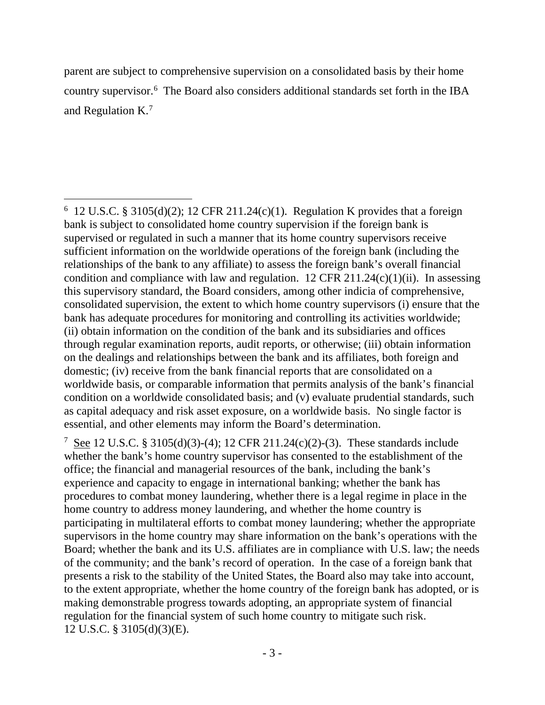parent are subject to comprehensive supervision on a consolidated basis by their home country supervisor.6 The Board also considers additional standards set forth in the IBA and Regulation K.<sup>7</sup>

<sup>7</sup> See 12 U.S.C. § 3105(d)(3)-(4); 12 CFR 211.24(c)(2)-(3). These standards include whether the bank's home country supervisor has consented to the establishment of the office; the financial and managerial resources of the bank, including the bank's experience and capacity to engage in international banking; whether the bank has procedures to combat money laundering, whether there is a legal regime in place in the home country to address money laundering, and whether the home country is participating in multilateral efforts to combat money laundering; whether the appropriate supervisors in the home country may share information on the bank's operations with the Board; whether the bank and its U.S. affiliates are in compliance with U.S. law; the needs of the community; and the bank's record of operation. In the case of a foreign bank that presents a risk to the stability of the United States, the Board also may take into account, to the extent appropriate, whether the home country of the foreign bank has adopted, or is making demonstrable progress towards adopting, an appropriate system of financial regulation for the financial system of such home country to mitigate such risk. 12 U.S.C. § 3105(d)(3)(E).

 $\overline{a}$  $6$  12 U.S.C. § 3105(d)(2); 12 CFR 211.24(c)(1). Regulation K provides that a foreign bank is subject to consolidated home country supervision if the foreign bank is supervised or regulated in such a manner that its home country supervisors receive sufficient information on the worldwide operations of the foreign bank (including the relationships of the bank to any affiliate) to assess the foreign bank's overall financial condition and compliance with law and regulation.  $12$  CFR  $211.24(c)(1)(ii)$ . In assessing this supervisory standard, the Board considers, among other indicia of comprehensive, consolidated supervision, the extent to which home country supervisors (i) ensure that the bank has adequate procedures for monitoring and controlling its activities worldwide; (ii) obtain information on the condition of the bank and its subsidiaries and offices through regular examination reports, audit reports, or otherwise; (iii) obtain information on the dealings and relationships between the bank and its affiliates, both foreign and domestic; (iv) receive from the bank financial reports that are consolidated on a worldwide basis, or comparable information that permits analysis of the bank's financial condition on a worldwide consolidated basis; and (v) evaluate prudential standards, such as capital adequacy and risk asset exposure, on a worldwide basis. No single factor is essential, and other elements may inform the Board's determination.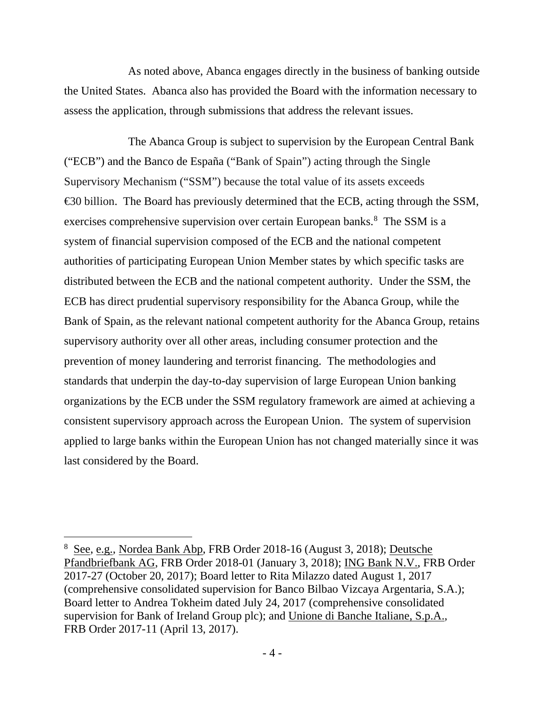As noted above, Abanca engages directly in the business of banking outside the United States. Abanca also has provided the Board with the information necessary to assess the application, through submissions that address the relevant issues.

The Abanca Group is subject to supervision by the European Central Bank ("ECB") and the Banco de España ("Bank of Spain") acting through the Single Supervisory Mechanism ("SSM") because the total value of its assets exceeds €30 billion. The Board has previously determined that the ECB, acting through the SSM, exercises comprehensive supervision over certain European banks.<sup>8</sup> The SSM is a system of financial supervision composed of the ECB and the national competent authorities of participating European Union Member states by which specific tasks are distributed between the ECB and the national competent authority. Under the SSM, the ECB has direct prudential supervisory responsibility for the Abanca Group, while the Bank of Spain, as the relevant national competent authority for the Abanca Group, retains supervisory authority over all other areas, including consumer protection and the prevention of money laundering and terrorist financing. The methodologies and standards that underpin the day-to-day supervision of large European Union banking organizations by the ECB under the SSM regulatory framework are aimed at achieving a consistent supervisory approach across the European Union. The system of supervision applied to large banks within the European Union has not changed materially since it was last considered by the Board.

<sup>&</sup>lt;sup>8</sup> See, e.g., Nordea Bank Abp, FRB Order 2018-16 (August 3, 2018); Deutsche Pfandbriefbank AG, FRB Order 2018-01 (January 3, 2018); ING Bank N.V., FRB Order 2017-27 (October 20, 2017); Board letter to Rita Milazzo dated August 1, 2017 (comprehensive consolidated supervision for Banco Bilbao Vizcaya Argentaria, S.A.); Board letter to Andrea Tokheim dated July 24, 2017 (comprehensive consolidated supervision for Bank of Ireland Group plc); and Unione di Banche Italiane, S.p.A., FRB Order 2017-11 (April 13, 2017).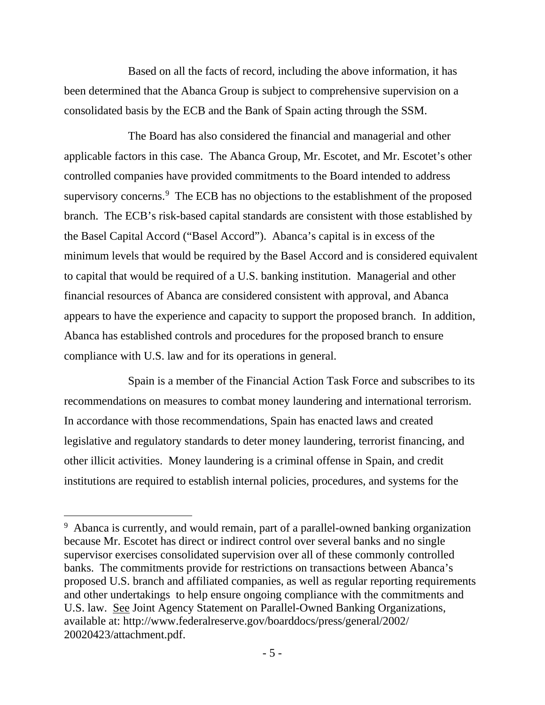Based on all the facts of record, including the above information, it has been determined that the Abanca Group is subject to comprehensive supervision on a consolidated basis by the ECB and the Bank of Spain acting through the SSM.

The Board has also considered the financial and managerial and other applicable factors in this case. The Abanca Group, Mr. Escotet, and Mr. Escotet's other controlled companies have provided commitments to the Board intended to address supervisory concerns.<sup>9</sup> The ECB has no objections to the establishment of the proposed branch. The ECB's risk-based capital standards are consistent with those established by the Basel Capital Accord ("Basel Accord"). Abanca's capital is in excess of the minimum levels that would be required by the Basel Accord and is considered equivalent to capital that would be required of a U.S. banking institution. Managerial and other financial resources of Abanca are considered consistent with approval, and Abanca appears to have the experience and capacity to support the proposed branch. In addition, Abanca has established controls and procedures for the proposed branch to ensure compliance with U.S. law and for its operations in general.

Spain is a member of the Financial Action Task Force and subscribes to its recommendations on measures to combat money laundering and international terrorism. In accordance with those recommendations, Spain has enacted laws and created legislative and regulatory standards to deter money laundering, terrorist financing, and other illicit activities. Money laundering is a criminal offense in Spain, and credit institutions are required to establish internal policies, procedures, and systems for the

<sup>&</sup>lt;sup>9</sup> Abanca is currently, and would remain, part of a parallel-owned banking organization because Mr. Escotet has direct or indirect control over several banks and no single supervisor exercises consolidated supervision over all of these commonly controlled banks. The commitments provide for restrictions on transactions between Abanca's proposed U.S. branch and affiliated companies, as well as regular reporting requirements and other undertakings to help ensure ongoing compliance with the commitments and U.S. law. See Joint Agency Statement on Parallel-Owned Banking Organizations, available at: http://www.federalreserve.gov/boarddocs/press/general/2002/ 20020423/attachment.pdf.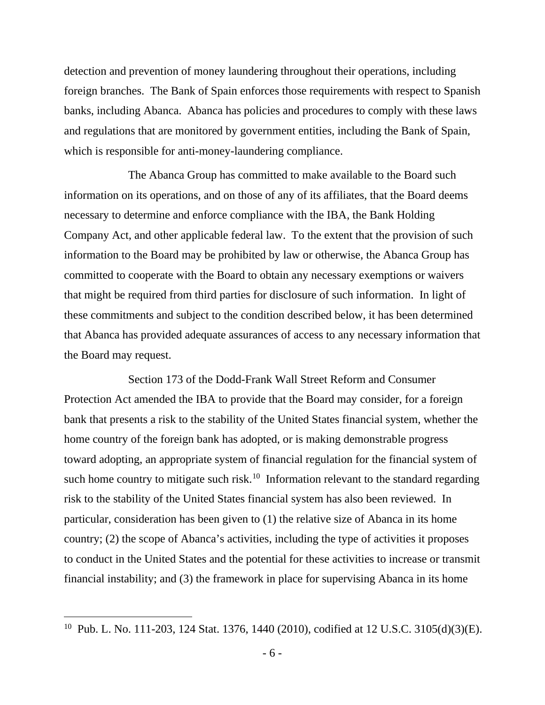detection and prevention of money laundering throughout their operations, including foreign branches. The Bank of Spain enforces those requirements with respect to Spanish banks, including Abanca. Abanca has policies and procedures to comply with these laws and regulations that are monitored by government entities, including the Bank of Spain, which is responsible for anti-money-laundering compliance.

The Abanca Group has committed to make available to the Board such information on its operations, and on those of any of its affiliates, that the Board deems necessary to determine and enforce compliance with the IBA, the Bank Holding Company Act, and other applicable federal law. To the extent that the provision of such information to the Board may be prohibited by law or otherwise, the Abanca Group has committed to cooperate with the Board to obtain any necessary exemptions or waivers that might be required from third parties for disclosure of such information. In light of these commitments and subject to the condition described below, it has been determined that Abanca has provided adequate assurances of access to any necessary information that the Board may request.

Section 173 of the Dodd-Frank Wall Street Reform and Consumer Protection Act amended the IBA to provide that the Board may consider, for a foreign bank that presents a risk to the stability of the United States financial system, whether the home country of the foreign bank has adopted, or is making demonstrable progress toward adopting, an appropriate system of financial regulation for the financial system of such home country to mitigate such risk.<sup>10</sup> Information relevant to the standard regarding risk to the stability of the United States financial system has also been reviewed. In particular, consideration has been given to (1) the relative size of Abanca in its home country; (2) the scope of Abanca's activities, including the type of activities it proposes to conduct in the United States and the potential for these activities to increase or transmit financial instability; and (3) the framework in place for supervising Abanca in its home

<sup>10</sup> Pub. L. No. 111-203, 124 Stat. 1376, 1440 (2010), codified at 12 U.S.C. 3105(d)(3)(E).